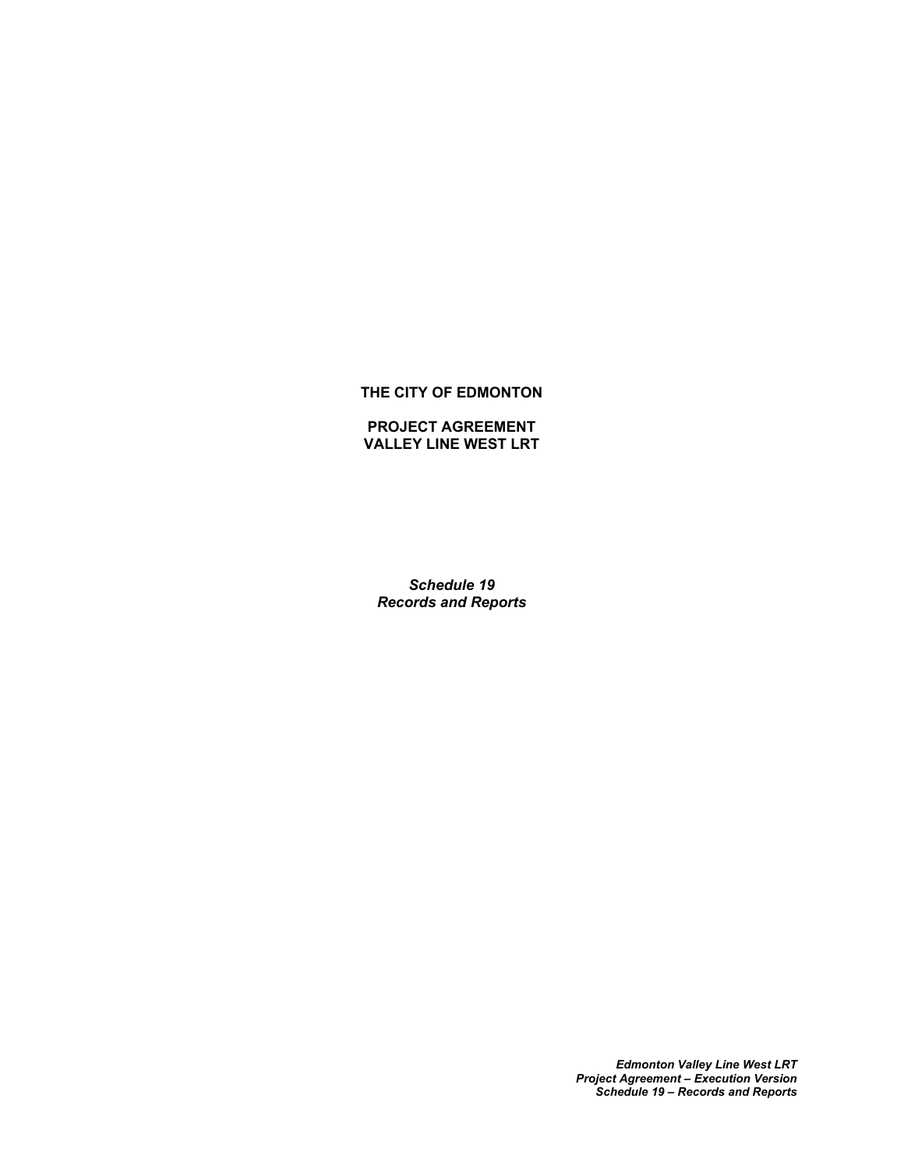### **THE CITY OF EDMONTON**

#### **PROJECT AGREEMENT VALLEY LINE WEST LRT**

*Schedule 19 Records and Reports*

> *Edmonton Valley Line West LRT Project Agreement – Execution Version Schedule 19 – Records and Reports*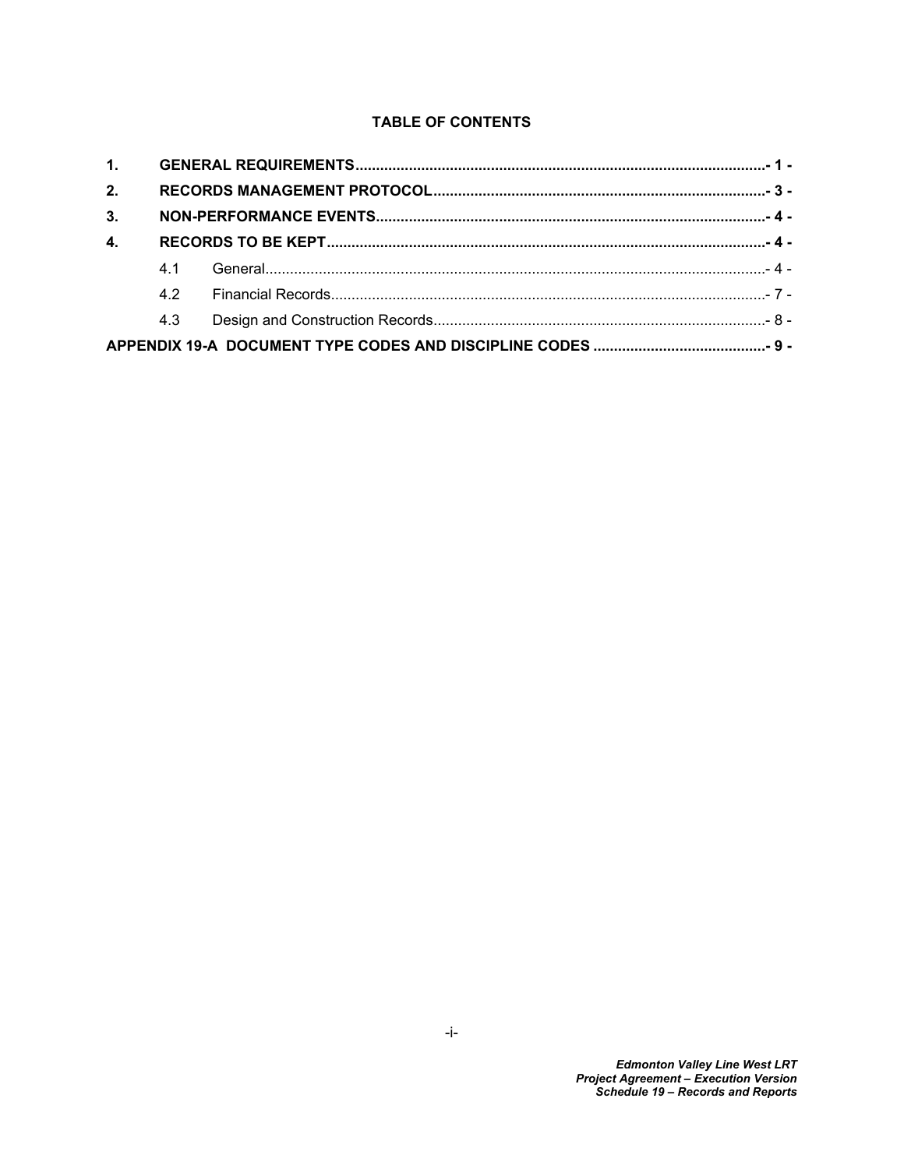# **TABLE OF CONTENTS**

| 2.             |     |  |
|----------------|-----|--|
| 3.             |     |  |
| $\mathbf{4}$ . |     |  |
|                | 4.1 |  |
|                | 42  |  |
|                | 4.3 |  |
|                |     |  |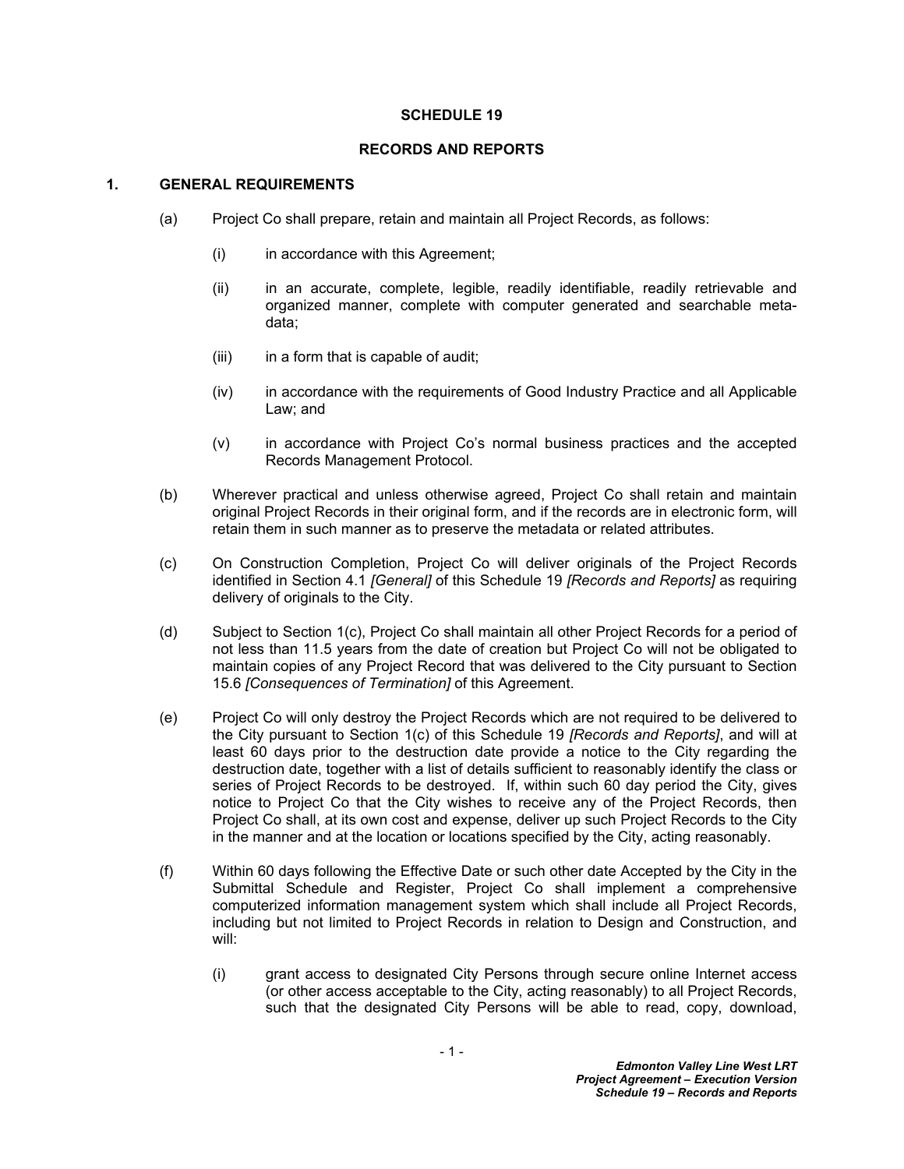#### **SCHEDULE 19**

#### **RECORDS AND REPORTS**

#### <span id="page-2-0"></span>**1. GENERAL REQUIREMENTS**

- (a) Project Co shall prepare, retain and maintain all Project Records, as follows:
	- (i) in accordance with this Agreement;
	- (ii) in an accurate, complete, legible, readily identifiable, readily retrievable and organized manner, complete with computer generated and searchable metadata;
	- (iii) in a form that is capable of audit;
	- (iv) in accordance with the requirements of Good Industry Practice and all Applicable Law; and
	- (v) in accordance with Project Co's normal business practices and the accepted Records Management Protocol.
- <span id="page-2-3"></span>(b) Wherever practical and unless otherwise agreed, Project Co shall retain and maintain original Project Records in their original form, and if the records are in electronic form, will retain them in such manner as to preserve the metadata or related attributes.
- <span id="page-2-1"></span>(c) On Construction Completion, Project Co will deliver originals of the Project Records identified in Section [4.1](#page-5-2) *[General]* of this Schedule 19 *[Records and Reports]* as requiring delivery of originals to the City.
- <span id="page-2-2"></span>(d) Subject to Section [1\(c\)](#page-2-1), Project Co shall maintain all other Project Records for a period of not less than 11.5 years from the date of creation but Project Co will not be obligated to maintain copies of any Project Record that was delivered to the City pursuant to Section 15.6 *[Consequences of Termination]* of this Agreement.
- (e) Project Co will only destroy the Project Records which are not required to be delivered to the City pursuant to Section [1\(c\)](#page-2-1) of this Schedule 19 *[Records and Reports]*, and will at least 60 days prior to the destruction date provide a notice to the City regarding the destruction date, together with a list of details sufficient to reasonably identify the class or series of Project Records to be destroyed. If, within such 60 day period the City, gives notice to Project Co that the City wishes to receive any of the Project Records, then Project Co shall, at its own cost and expense, deliver up such Project Records to the City in the manner and at the location or locations specified by the City, acting reasonably.
- (f) Within 60 days following the Effective Date or such other date Accepted by the City in the Submittal Schedule and Register, Project Co shall implement a comprehensive computerized information management system which shall include all Project Records, including but not limited to Project Records in relation to Design and Construction, and will:
	- (i) grant access to designated City Persons through secure online Internet access (or other access acceptable to the City, acting reasonably) to all Project Records, such that the designated City Persons will be able to read, copy, download,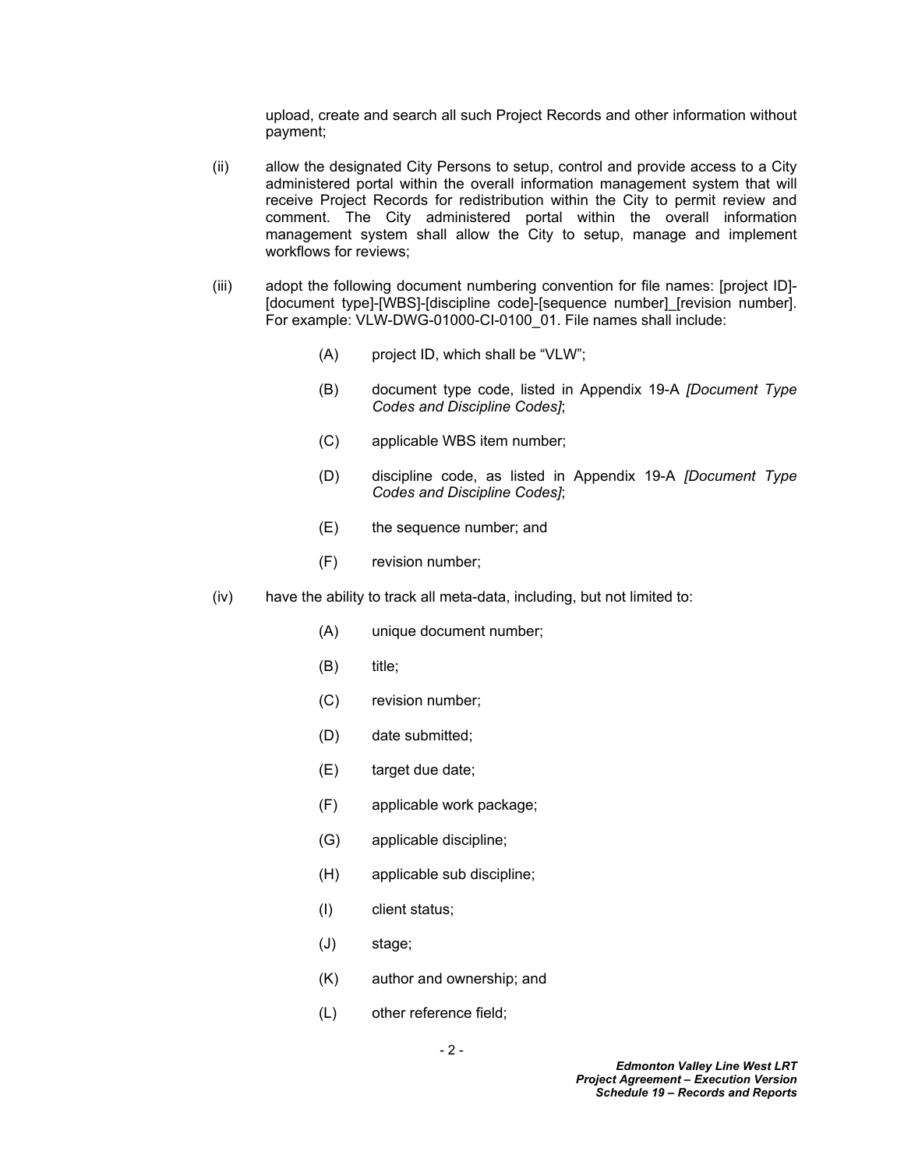upload, create and search all such Project Records and other information without payment;

- (ii) allow the designated City Persons to setup, control and provide access to a City administered portal within the overall information management system that will receive Project Records for redistribution within the City to permit review and comment. The City administered portal within the overall information management system shall allow the City to setup, manage and implement workflows for reviews;
- (iii) adopt the following document numbering convention for file names: [project ID]- [document type]-[WBS]-[discipline code]-[sequence number] [revision number]. For example: VLW-DWG-01000-CI-0100\_01. File names shall include:
	- (A) project ID, which shall be "VLW";
	- (B) document type code, listed in Appendix 19-A *[Document Type Codes and Discipline Codes]*;
	- (C) applicable WBS item number;
	- (D) discipline code, as listed in Appendix 19-A *[Document Type Codes and Discipline Codes]*;
	- (E) the sequence number; and
	- (F) revision number;
- (iv) have the ability to track all meta-data, including, but not limited to:
	- (A) unique document number;
	- (B) title;
	- (C) revision number;
	- (D) date submitted;
	- (E) target due date;
	- (F) applicable work package;
	- (G) applicable discipline;
	- (H) applicable sub discipline;
	- (I) client status;
	- (J) stage;
	- (K) author and ownership; and
	- (L) other reference field;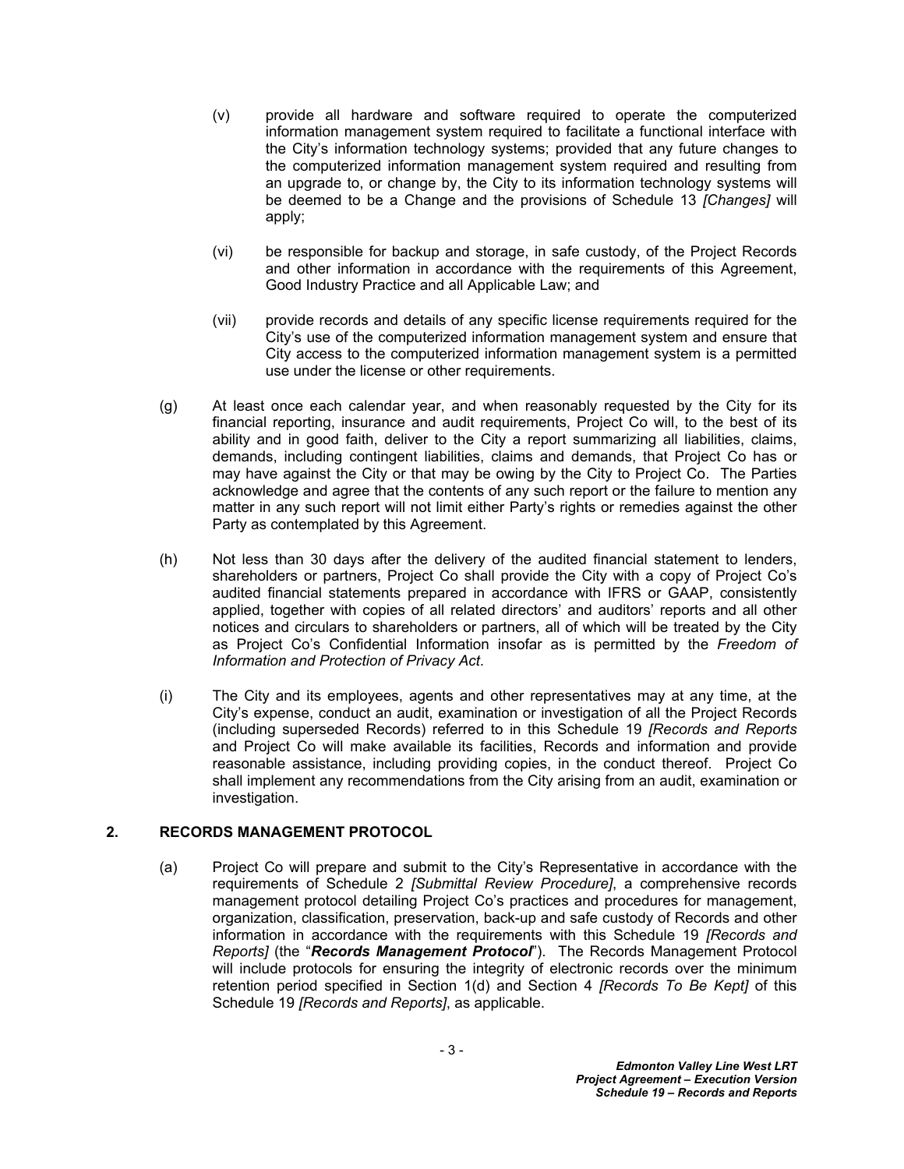- (v) provide all hardware and software required to operate the computerized information management system required to facilitate a functional interface with the City's information technology systems; provided that any future changes to the computerized information management system required and resulting from an upgrade to, or change by, the City to its information technology systems will be deemed to be a Change and the provisions of Schedule 13 *[Changes]* will apply;
- (vi) be responsible for backup and storage, in safe custody, of the Project Records and other information in accordance with the requirements of this Agreement, Good Industry Practice and all Applicable Law; and
- (vii) provide records and details of any specific license requirements required for the City's use of the computerized information management system and ensure that City access to the computerized information management system is a permitted use under the license or other requirements.
- (g) At least once each calendar year, and when reasonably requested by the City for its financial reporting, insurance and audit requirements, Project Co will, to the best of its ability and in good faith, deliver to the City a report summarizing all liabilities, claims, demands, including contingent liabilities, claims and demands, that Project Co has or may have against the City or that may be owing by the City to Project Co. The Parties acknowledge and agree that the contents of any such report or the failure to mention any matter in any such report will not limit either Party's rights or remedies against the other Party as contemplated by this Agreement.
- (h) Not less than 30 days after the delivery of the audited financial statement to lenders, shareholders or partners, Project Co shall provide the City with a copy of Project Co's audited financial statements prepared in accordance with IFRS or GAAP, consistently applied, together with copies of all related directors' and auditors' reports and all other notices and circulars to shareholders or partners, all of which will be treated by the City as Project Co's Confidential Information insofar as is permitted by the *Freedom of Information and Protection of Privacy Act*.
- (i) The City and its employees, agents and other representatives may at any time, at the City's expense, conduct an audit, examination or investigation of all the Project Records (including superseded Records) referred to in this Schedule 19 *[Records and Reports* and Project Co will make available its facilities, Records and information and provide reasonable assistance, including providing copies, in the conduct thereof. Project Co shall implement any recommendations from the City arising from an audit, examination or investigation.

### <span id="page-4-0"></span>**2. RECORDS MANAGEMENT PROTOCOL**

(a) Project Co will prepare and submit to the City's Representative in accordance with the requirements of Schedule 2 *[Submittal Review Procedure]*, a comprehensive records management protocol detailing Project Co's practices and procedures for management, organization, classification, preservation, back-up and safe custody of Records and other information in accordance with the requirements with this Schedule 19 *[Records and Reports]* (the "*Records Management Protocol*"). The Records Management Protocol will include protocols for ensuring the integrity of electronic records over the minimum retention period specified in Section [1\(d\)](#page-2-2) and Section [4](#page-5-1) *[Records To Be Kept]* of this Schedule 19 *[Records and Reports]*, as applicable.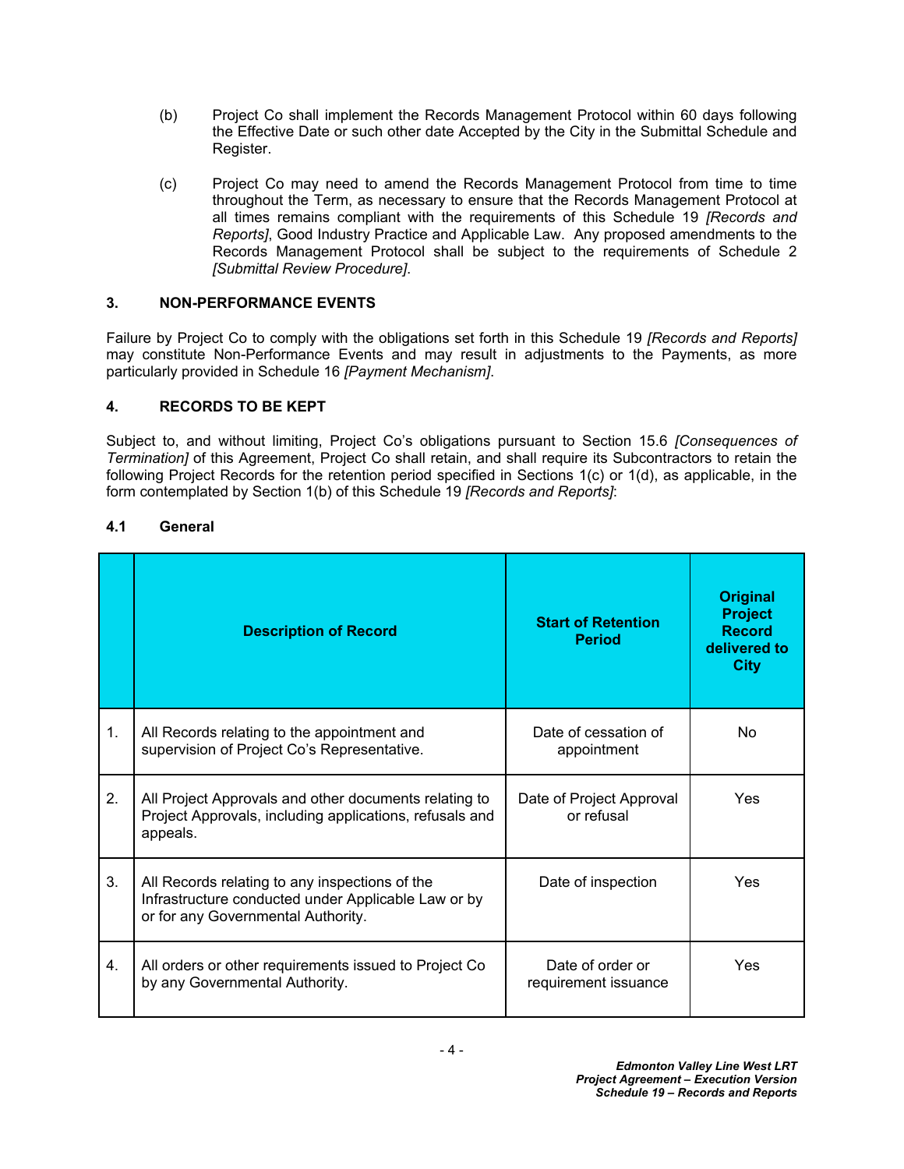- (b) Project Co shall implement the Records Management Protocol within 60 days following the Effective Date or such other date Accepted by the City in the Submittal Schedule and Register.
- (c) Project Co may need to amend the Records Management Protocol from time to time throughout the Term, as necessary to ensure that the Records Management Protocol at all times remains compliant with the requirements of this Schedule 19 *[Records and Reports]*, Good Industry Practice and Applicable Law. Any proposed amendments to the Records Management Protocol shall be subject to the requirements of Schedule 2 *[Submittal Review Procedure]*.

# <span id="page-5-0"></span>**3. NON-PERFORMANCE EVENTS**

Failure by Project Co to comply with the obligations set forth in this Schedule 19 *[Records and Reports]* may constitute Non-Performance Events and may result in adjustments to the Payments, as more particularly provided in Schedule 16 *[Payment Mechanism]*.

# <span id="page-5-1"></span>**4. RECORDS TO BE KEPT**

Subject to, and without limiting, Project Co's obligations pursuant to Section 15.6 *[Consequences of Termination]* of this Agreement, Project Co shall retain, and shall require its Subcontractors to retain the following Project Records for the retention period specified in Sections [1\(c\)](#page-2-1) or [1\(d\)](#page-2-2), as applicable, in the form contemplated by Section [1\(b\)](#page-2-3) of this Schedule 19 *[Records and Reports]*:

### <span id="page-5-2"></span>**4.1 General**

|    | <b>Description of Record</b>                                                                                                                | <b>Start of Retention</b><br><b>Period</b> | <b>Original</b><br><b>Project</b><br><b>Record</b><br>delivered to<br><b>City</b> |
|----|---------------------------------------------------------------------------------------------------------------------------------------------|--------------------------------------------|-----------------------------------------------------------------------------------|
| 1. | All Records relating to the appointment and<br>supervision of Project Co's Representative.                                                  | Date of cessation of<br>appointment        | <b>No</b>                                                                         |
| 2. | All Project Approvals and other documents relating to<br>Project Approvals, including applications, refusals and<br>appeals.                | Date of Project Approval<br>or refusal     | Yes                                                                               |
| 3. | All Records relating to any inspections of the<br>Infrastructure conducted under Applicable Law or by<br>or for any Governmental Authority. | Date of inspection                         | Yes                                                                               |
| 4. | All orders or other requirements issued to Project Co<br>by any Governmental Authority.                                                     | Date of order or<br>requirement issuance   | Yes                                                                               |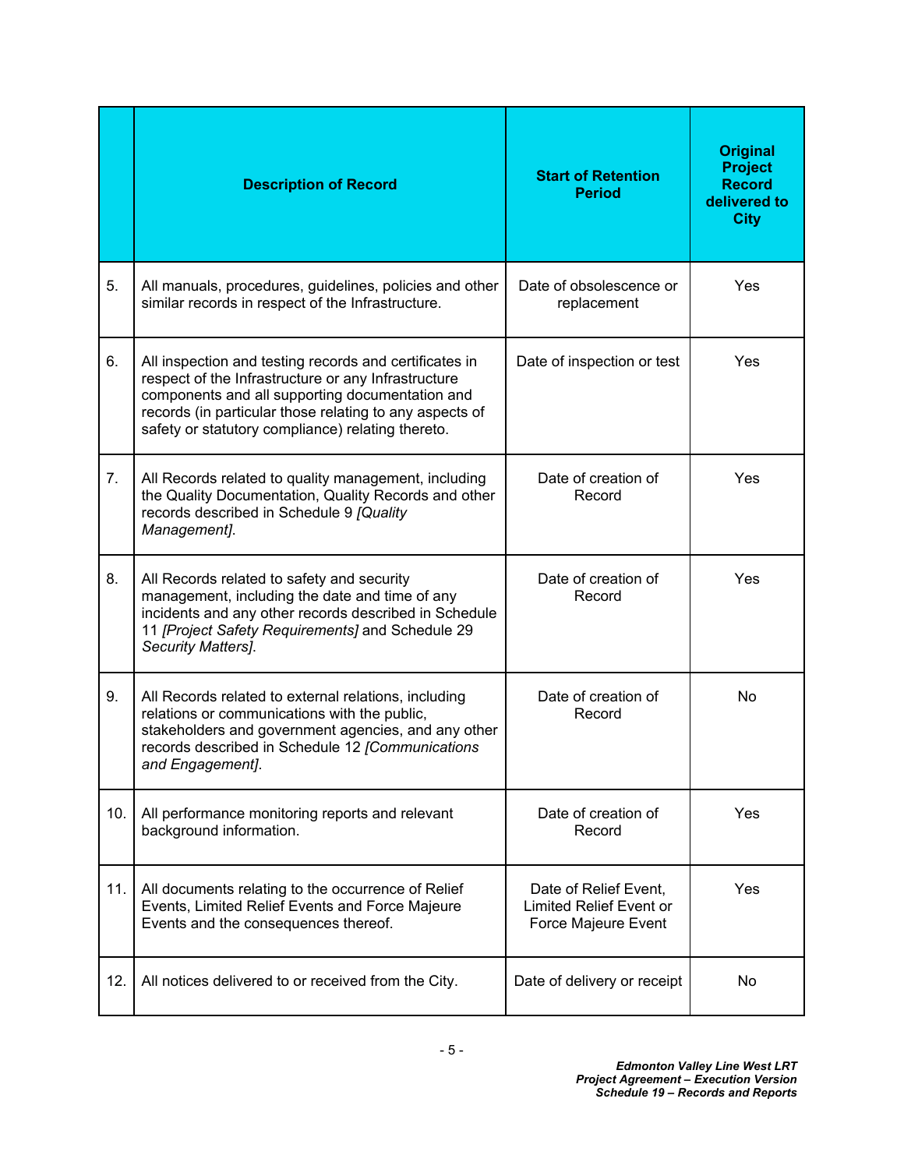|     | <b>Description of Record</b>                                                                                                                                                                                                                                                     | <b>Start of Retention</b><br><b>Period</b>                                     | <b>Original</b><br><b>Project</b><br><b>Record</b><br>delivered to<br><b>City</b> |
|-----|----------------------------------------------------------------------------------------------------------------------------------------------------------------------------------------------------------------------------------------------------------------------------------|--------------------------------------------------------------------------------|-----------------------------------------------------------------------------------|
| 5.  | All manuals, procedures, guidelines, policies and other<br>similar records in respect of the Infrastructure.                                                                                                                                                                     | Date of obsolescence or<br>replacement                                         | Yes                                                                               |
| 6.  | All inspection and testing records and certificates in<br>respect of the Infrastructure or any Infrastructure<br>components and all supporting documentation and<br>records (in particular those relating to any aspects of<br>safety or statutory compliance) relating thereto. | Date of inspection or test                                                     | Yes                                                                               |
| 7.  | All Records related to quality management, including<br>the Quality Documentation, Quality Records and other<br>records described in Schedule 9 [Quality<br>Management].                                                                                                         | Date of creation of<br>Record                                                  | Yes                                                                               |
| 8.  | All Records related to safety and security<br>management, including the date and time of any<br>incidents and any other records described in Schedule<br>11 [Project Safety Requirements] and Schedule 29<br>Security Matters].                                                  | Date of creation of<br>Record                                                  | Yes                                                                               |
| 9.  | All Records related to external relations, including<br>relations or communications with the public,<br>stakeholders and government agencies, and any other<br>records described in Schedule 12 [Communications<br>and Engagement].                                              | Date of creation of<br>Record                                                  | No                                                                                |
| 10. | All performance monitoring reports and relevant<br>background information.                                                                                                                                                                                                       | Date of creation of<br>Record                                                  | Yes                                                                               |
| 11. | All documents relating to the occurrence of Relief<br>Events, Limited Relief Events and Force Majeure<br>Events and the consequences thereof.                                                                                                                                    | Date of Relief Event,<br><b>Limited Relief Event or</b><br>Force Majeure Event | Yes                                                                               |
| 12. | All notices delivered to or received from the City.                                                                                                                                                                                                                              | Date of delivery or receipt                                                    | No                                                                                |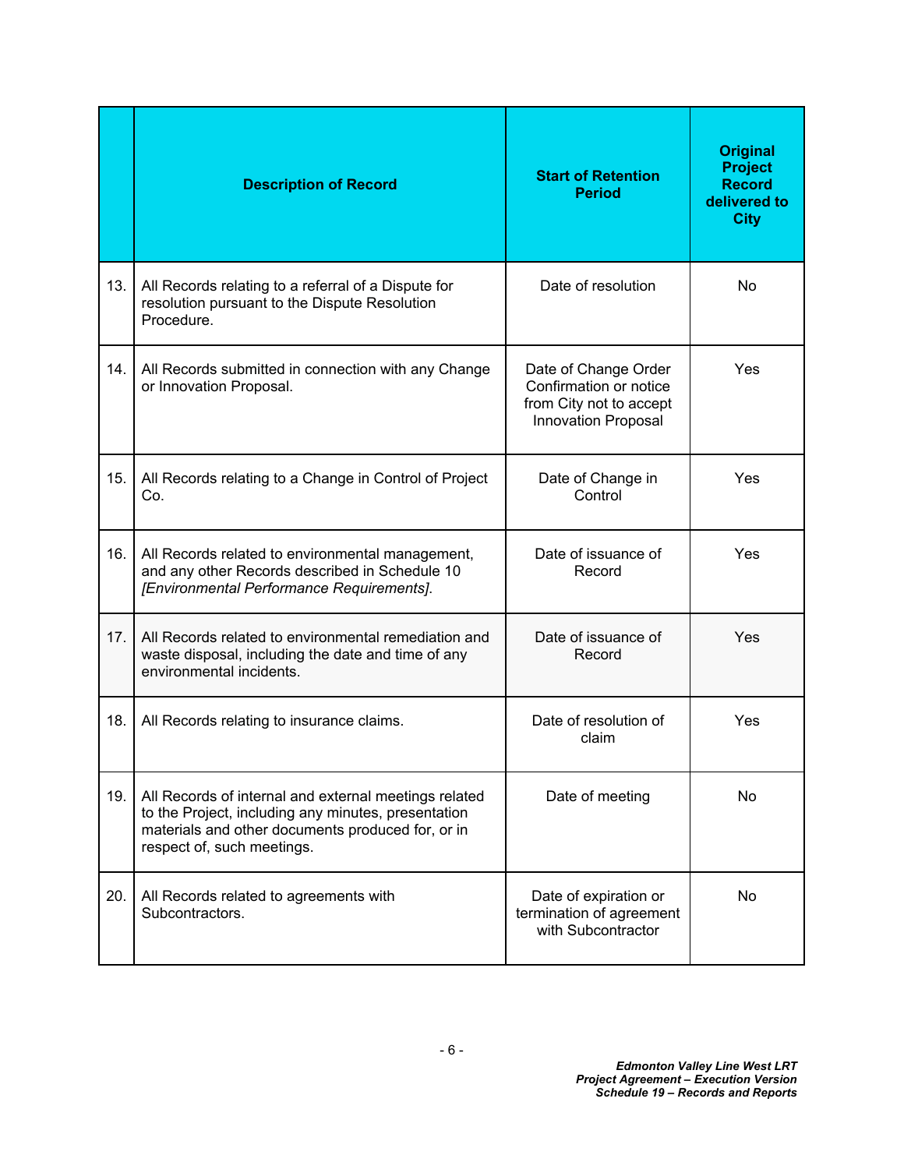|     | <b>Description of Record</b>                                                                                                                                                                    | <b>Start of Retention</b><br><b>Period</b>                                                              | <b>Original</b><br><b>Project</b><br><b>Record</b><br>delivered to<br><b>City</b> |
|-----|-------------------------------------------------------------------------------------------------------------------------------------------------------------------------------------------------|---------------------------------------------------------------------------------------------------------|-----------------------------------------------------------------------------------|
| 13. | All Records relating to a referral of a Dispute for<br>resolution pursuant to the Dispute Resolution<br>Procedure.                                                                              | Date of resolution                                                                                      | <b>No</b>                                                                         |
| 14. | All Records submitted in connection with any Change<br>or Innovation Proposal.                                                                                                                  | Date of Change Order<br>Confirmation or notice<br>from City not to accept<br><b>Innovation Proposal</b> | Yes                                                                               |
| 15. | All Records relating to a Change in Control of Project<br>Co.                                                                                                                                   | Date of Change in<br>Control                                                                            | Yes                                                                               |
| 16. | All Records related to environmental management,<br>and any other Records described in Schedule 10<br>[Environmental Performance Requirements].                                                 | Date of issuance of<br>Record                                                                           | Yes                                                                               |
| 17. | All Records related to environmental remediation and<br>waste disposal, including the date and time of any<br>environmental incidents.                                                          | Date of issuance of<br>Record                                                                           | Yes                                                                               |
| 18. | All Records relating to insurance claims.                                                                                                                                                       | Date of resolution of<br>claim                                                                          | Yes                                                                               |
| 19. | All Records of internal and external meetings related<br>to the Project, including any minutes, presentation<br>materials and other documents produced for, or in<br>respect of, such meetings. | Date of meeting                                                                                         | No.                                                                               |
| 20. | All Records related to agreements with<br>Subcontractors.                                                                                                                                       | Date of expiration or<br>termination of agreement<br>with Subcontractor                                 | No                                                                                |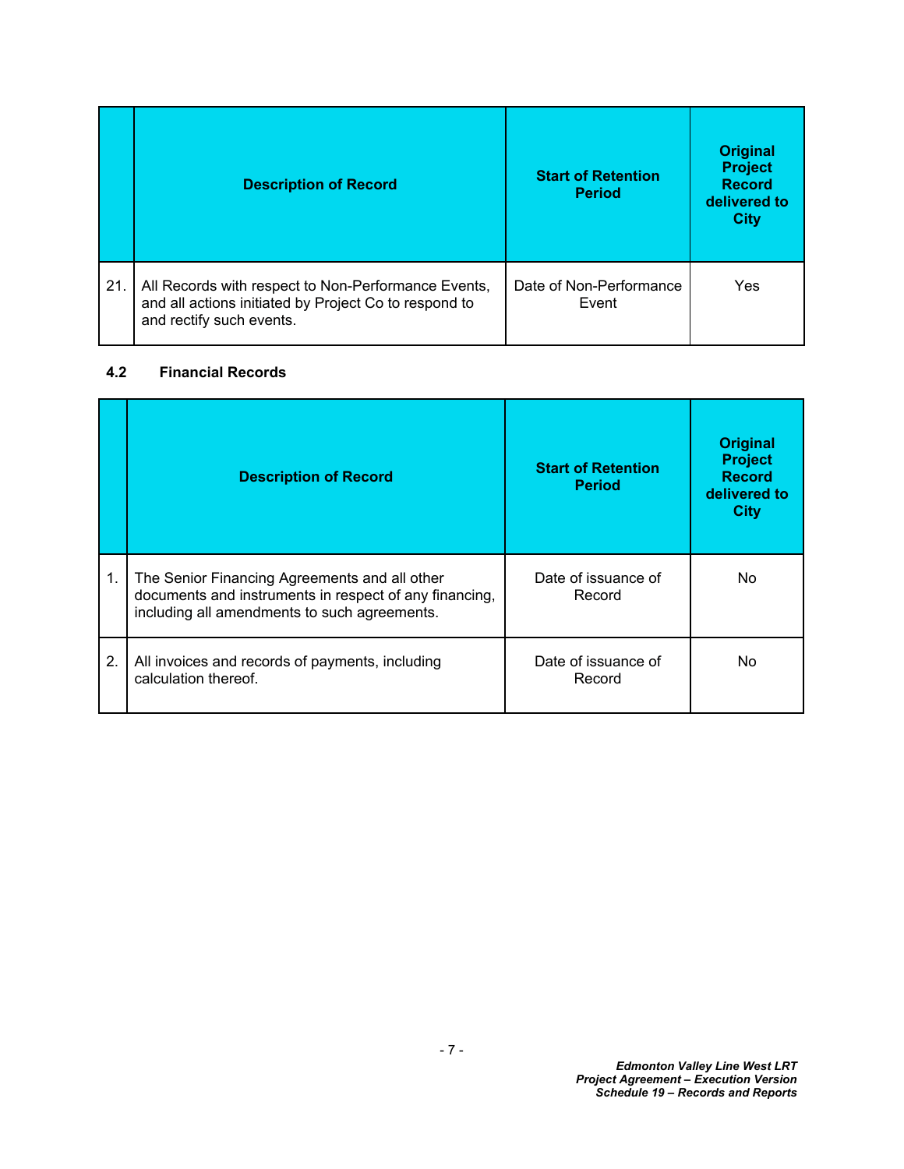|     | <b>Description of Record</b>                                                                                                             | <b>Start of Retention</b><br><b>Period</b> | <b>Original</b><br><b>Project</b><br><b>Record</b><br>delivered to<br><b>City</b> |
|-----|------------------------------------------------------------------------------------------------------------------------------------------|--------------------------------------------|-----------------------------------------------------------------------------------|
| 21. | All Records with respect to Non-Performance Events,<br>and all actions initiated by Project Co to respond to<br>and rectify such events. | Date of Non-Performance<br>Event           | Yes                                                                               |

### <span id="page-8-0"></span>**4.2 Financial Records**

|    | <b>Description of Record</b>                                                                                                                            | <b>Start of Retention</b><br><b>Period</b> | <b>Original</b><br><b>Project</b><br><b>Record</b><br>delivered to<br><b>City</b> |
|----|---------------------------------------------------------------------------------------------------------------------------------------------------------|--------------------------------------------|-----------------------------------------------------------------------------------|
| 1. | The Senior Financing Agreements and all other<br>documents and instruments in respect of any financing,<br>including all amendments to such agreements. | Date of issuance of<br>Record              | No.                                                                               |
| 2. | All invoices and records of payments, including<br>calculation thereof.                                                                                 | Date of issuance of<br>Record              | No                                                                                |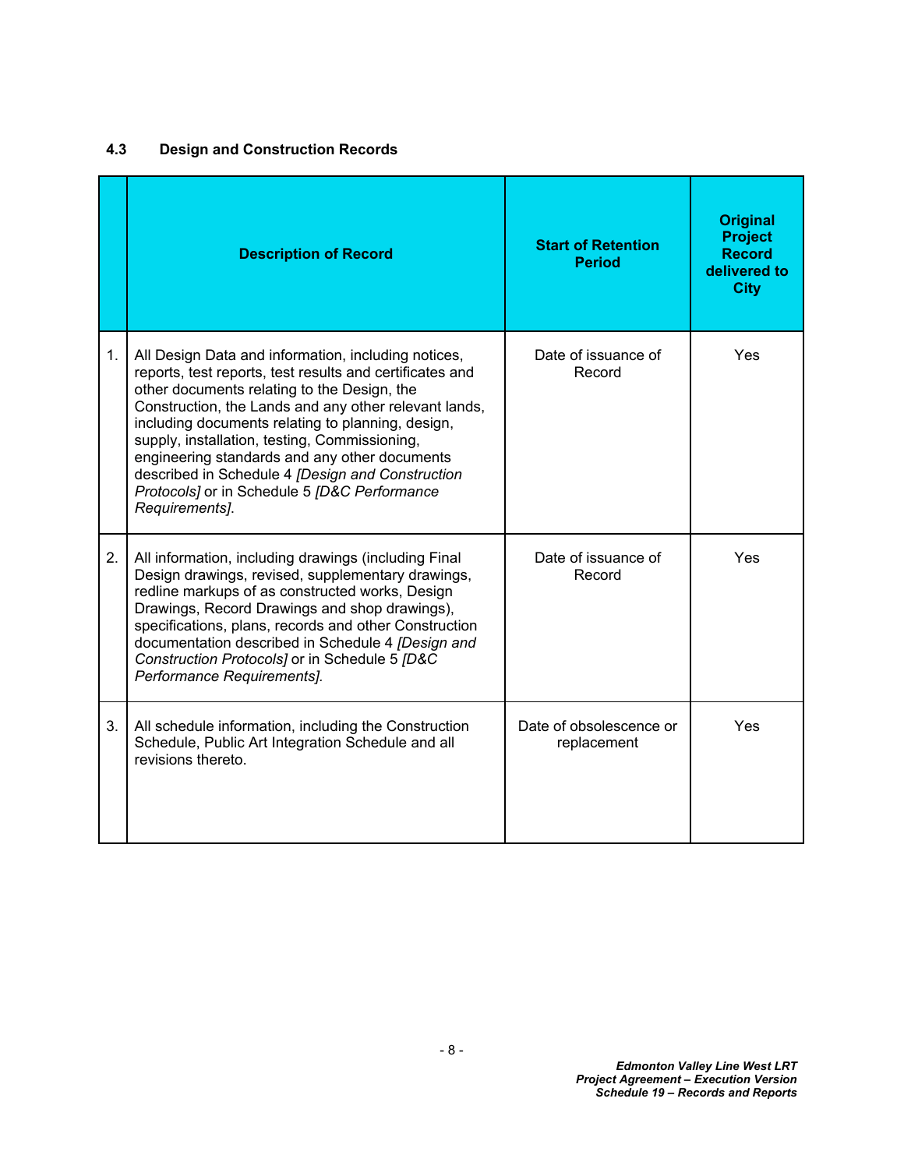# <span id="page-9-0"></span>**4.3 Design and Construction Records**

|    | <b>Description of Record</b>                                                                                                                                                                                                                                                                                                                                                                                                                                                                         | <b>Start of Retention</b><br><b>Period</b> | <b>Original</b><br><b>Project</b><br><b>Record</b><br>delivered to<br><b>City</b> |
|----|------------------------------------------------------------------------------------------------------------------------------------------------------------------------------------------------------------------------------------------------------------------------------------------------------------------------------------------------------------------------------------------------------------------------------------------------------------------------------------------------------|--------------------------------------------|-----------------------------------------------------------------------------------|
| 1. | All Design Data and information, including notices,<br>reports, test reports, test results and certificates and<br>other documents relating to the Design, the<br>Construction, the Lands and any other relevant lands,<br>including documents relating to planning, design,<br>supply, installation, testing, Commissioning,<br>engineering standards and any other documents<br>described in Schedule 4 [Design and Construction<br>Protocols] or in Schedule 5 [D&C Performance<br>Requirements]. | Date of issuance of<br>Record              | Yes                                                                               |
| 2. | All information, including drawings (including Final<br>Design drawings, revised, supplementary drawings,<br>redline markups of as constructed works, Design<br>Drawings, Record Drawings and shop drawings),<br>specifications, plans, records and other Construction<br>documentation described in Schedule 4 [Design and<br>Construction Protocols] or in Schedule 5 [D&C<br>Performance Requirements].                                                                                           | Date of issuance of<br>Record              | Yes                                                                               |
| 3. | All schedule information, including the Construction<br>Schedule, Public Art Integration Schedule and all<br>revisions thereto.                                                                                                                                                                                                                                                                                                                                                                      | Date of obsolescence or<br>replacement     | Yes                                                                               |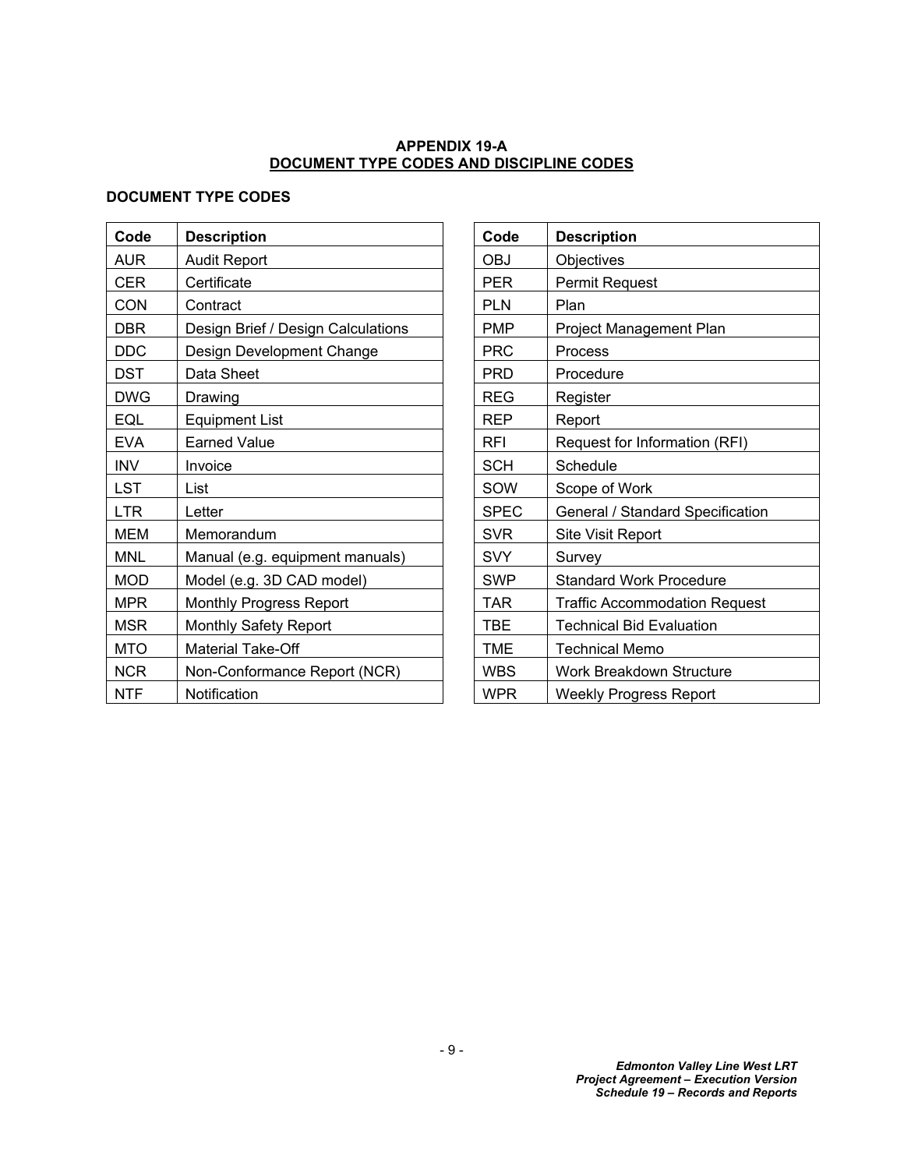### **APPENDIX 19-A DOCUMENT TYPE CODES AND DISCIPLINE CODES**

### **DOCUMENT TYPE CODES**

| Code       | <b>Description</b>                 | Code        | <b>Description</b>                   |
|------------|------------------------------------|-------------|--------------------------------------|
| <b>AUR</b> | <b>Audit Report</b>                | <b>OBJ</b>  | <b>Objectives</b>                    |
| <b>CER</b> | Certificate                        | <b>PER</b>  | Permit Request                       |
| CON        | Contract                           | <b>PLN</b>  | Plan                                 |
| <b>DBR</b> | Design Brief / Design Calculations | <b>PMP</b>  | Project Management Plan              |
| <b>DDC</b> | Design Development Change          | <b>PRC</b>  | <b>Process</b>                       |
| <b>DST</b> | Data Sheet                         | <b>PRD</b>  | Procedure                            |
| <b>DWG</b> | Drawing                            | <b>REG</b>  | Register                             |
| EQL        | <b>Equipment List</b>              | <b>REP</b>  | Report                               |
| <b>EVA</b> | <b>Earned Value</b>                | <b>RFI</b>  | Request for Information (RFI)        |
| <b>INV</b> | Invoice                            | <b>SCH</b>  | Schedule                             |
| <b>LST</b> | List                               | SOW         | Scope of Work                        |
| <b>LTR</b> | Letter                             | <b>SPEC</b> | General / Standard Specification     |
| <b>MEM</b> | Memorandum                         | <b>SVR</b>  | Site Visit Report                    |
| <b>MNL</b> | Manual (e.g. equipment manuals)    | <b>SVY</b>  | Survey                               |
| <b>MOD</b> | Model (e.g. 3D CAD model)          | <b>SWP</b>  | <b>Standard Work Procedure</b>       |
| <b>MPR</b> | Monthly Progress Report            | <b>TAR</b>  | <b>Traffic Accommodation Request</b> |
| <b>MSR</b> | Monthly Safety Report              | <b>TBE</b>  | <b>Technical Bid Evaluation</b>      |
| <b>MTO</b> | Material Take-Off                  | TME         | <b>Technical Memo</b>                |
| <b>NCR</b> | Non-Conformance Report (NCR)       | <b>WBS</b>  | <b>Work Breakdown Structure</b>      |
| <b>NTF</b> | Notification                       | <b>WPR</b>  | <b>Weekly Progress Report</b>        |

<span id="page-10-0"></span>

| Code        | <b>Description</b>                   |
|-------------|--------------------------------------|
| OBJ         | Objectives                           |
| PER         | <b>Permit Request</b>                |
| <b>PLN</b>  | Plan                                 |
| <b>PMP</b>  | Project Management Plan              |
| <b>PRC</b>  | Process                              |
| <b>PRD</b>  | Procedure                            |
| <b>REG</b>  | Register                             |
| <b>REP</b>  | Report                               |
| RFI         | Request for Information (RFI)        |
| <b>SCH</b>  | Schedule                             |
| SOW         | Scope of Work                        |
| <b>SPEC</b> | General / Standard Specification     |
| <b>SVR</b>  | Site Visit Report                    |
| SVY         | Survey                               |
| <b>SWP</b>  | <b>Standard Work Procedure</b>       |
| TAR         | <b>Traffic Accommodation Request</b> |
| <b>TBE</b>  | <b>Technical Bid Evaluation</b>      |
| <b>TME</b>  | Technical Memo                       |
| <b>WBS</b>  | Work Breakdown Structure             |
| <b>WPR</b>  | <b>Weekly Progress Report</b>        |